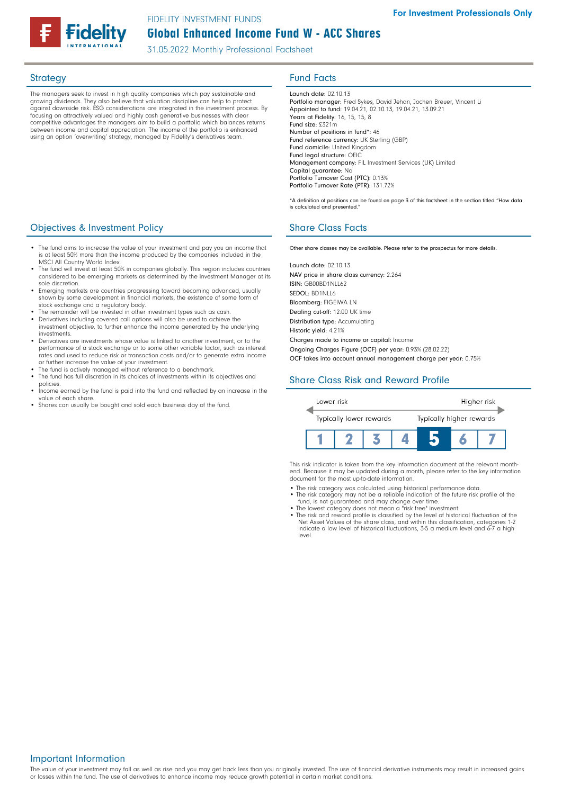# Global Enhanced Income Fund W - ACC Shares FIDELITY INVESTMENT FUNDS

31.05.2022 Monthly Professional Factsheet

The managers seek to invest in high quality companies which pay sustainable and growing dividends. They also believe that valuation discipline can help to protect against downside risk. ESG considerations are integrated in the investment process. By focusing on attractively valued and highly cash generative businesses with clear competitive advantages the managers aim to build a portfolio which balances returns between income and capital appreciation. The income of the portfolio is enhanced using an option 'overwriting' strategy, managed by Fidelity's derivatives team.

# Strategy **Fund Facts**

Launch date: 02.10.13 Portfolio manager: Fred Sykes, David Jehan, Jochen Breuer, Vincent Li Appointed to fund: 19.04.21, 02.10.13, 19.04.21, 13.09.21 Years at Fidelity: 16, 15, 15, 8 Fund size: £321m Number of positions in fund\*: 46 Fund reference currency: UK Sterling (GBP) Fund domicile: United Kingdom Fund legal structure: OEIC Management company: FIL Investment Services (UK) Limited Capital guarantee: No Portfolio Turnover Cost (PTC): 0.13% Portfolio Turnover Rate (PTR): 131.72%

\*A definition of positions can be found on page 3 of this factsheet in the section titled "How data is calculated and presented."

Other share classes may be available. Please refer to the prospectus for more details.

Launch date: 02.10.13 NAV price in share class currency: 2.264 ISIN: GB00BD1NLL62 SEDOL: BD1NLL6 Bloomberg: FIGEIWA LN Dealing cut-off: 12:00 UK time Distribution type: Accumulating Historic yield: 4.21% Charges made to income or capital: Income Ongoing Charges Figure (OCF) per year: 0.93% (28.02.22) OCF takes into account annual management charge per year: 0.75%

# Share Class Risk and Reward Profile



This risk indicator is taken from the key information document at the relevant monthend. Because it may be updated during a month, please refer to the key information document for the most up-to-date information.

- The risk category was calculated using historical performance data.
- The risk category may not be a reliable indication of the future risk profile of the fund, is not guaranteed and may change over time. • The lowest category does not mean a "risk free" investment.
- The risk and reward profile is classified by the level of historical fluctuation of the Net Asset Values of the share class, and within this classification, categories 1-2 indicate a low level of historical fluctuations, 3-5 a medium level and 6-7 a high level.

## **Objectives & Investment Policy Share Class Facts** Share Class Facts

- The fund aims to increase the value of your investment and pay you an income that is at least 50% more than the income produced by the companies included in the MSCI All Country World Index.
- The fund will invest at least 50% in companies globally. This region includes countries considered to be emerging markets as determined by the Investment Manager at its sole discretion.
- Emerging markets are countries progressing toward becoming advanced, usually shown by some development in financial markets, the existence of some form of
- stock exchange and a regulatory body. The remainder will be invested in other investment types such as cash.
- Derivatives including covered call options will also be used to achieve the investment objective, to further enhance the income generated by the underlying investments.
- Derivatives are investments whose value is linked to another investment, or to the performance of a stock exchange or to some other variable factor, such as interest rates and used to reduce risk or transaction costs and/or to generate extra income or further increase the value of your investment.
- The fund is actively managed without reference to a benchmark
- The fund has full discretion in its choices of investments within its objectives and policies.
- Income earned by the fund is paid into the fund and reflected by an increase in the value of each share.
- Shares can usually be bought and sold each business day of the fund.

The value of your investment may fall as well as rise and you may get back less than you originally invested. The use of financial derivative instruments may result in increased gains or losses within the fund. The use of derivatives to enhance income may reduce growth potential in certain market conditions.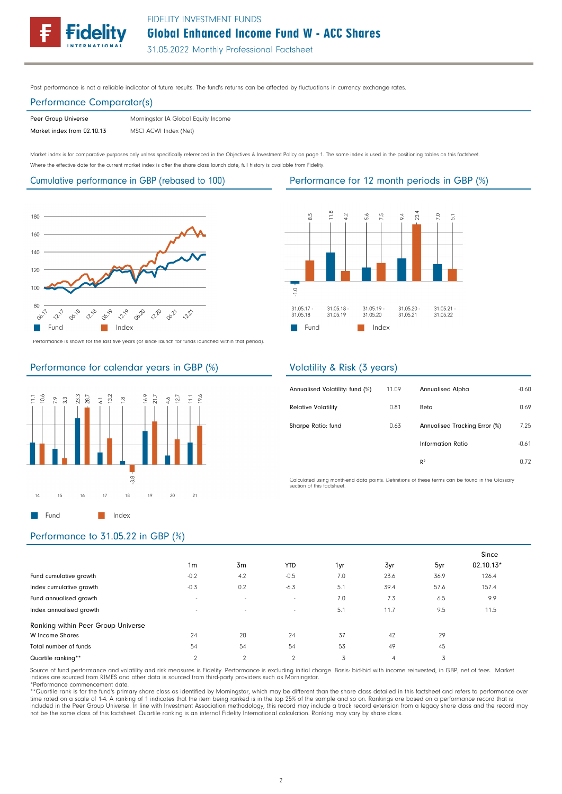# Global Enhanced Income Fund W - ACC Shares FIDELITY INVESTMENT FUNDS

31.05.2022 Monthly Professional Factsheet

Past performance is not a reliable indicator of future results. The fund's returns can be affected by fluctuations in currency exchange rates.

# Performance Comparator(s)

Peer Group Universe Market index from 02.10.13 MSCI ACWI Index (Net) Morningstar IA Global Equity Income

Market index is for comparative purposes only unless specifically referenced in the Objectives & Investment Policy on page 1. The same index is used in the positioning tables on this factsheet. Where the effective date for the current market index is after the share class launch date, full history is available from Fidelity.

Cumulative performance in GBP (rebased to 100) Performance for 12 month periods in GBP (%)



Performance is shown for the last five years (or since launch for funds launched within that period).



# Performance for calendar years in GBP (%)



# Volatility & Risk (3 years)

Fund Index

T.

| 11.09 | <b>Annualised Alpha</b>       | $-0.60$ |
|-------|-------------------------------|---------|
| 0.81  | Beta                          | 0.69    |
| 0.63  | Annualised Tracking Error (%) | 7.25    |
|       | Information Ratio             | $-0.61$ |
|       | $R^2$                         | 0.72    |
|       |                               |         |

Calculated using month-end data points. Definitions of these terms can be found in the Glossary section of this factsheet.

## Performance to 31.05.22 in GBP (%)

|                                    | 1 <sub>m</sub> | 3 <sub>m</sub> | <b>YTD</b>     | 1yr | 3yr  | 5yr  | Since<br>02.10.13* |
|------------------------------------|----------------|----------------|----------------|-----|------|------|--------------------|
| Fund cumulative growth             | $-0.2$         | 4.2            | $-0.5$         | 7.0 | 23.6 | 36.9 | 126.4              |
| Index cumulative growth            | $-0.3$         | 0.2            | $-6.3$         | 5.1 | 39.4 | 57.6 | 157.4              |
| Fund annualised growth             | $\sim$         | $\sim$         | $\sim$         | 7.0 | 7.3  | 6.5  | 9.9                |
| Index annualised growth            | $\overline{a}$ | $\sim$         | $\sim$         | 5.1 | 11.7 | 9.5  | 11.5               |
| Ranking within Peer Group Universe |                |                |                |     |      |      |                    |
| W Income Shares                    | 24             | 20             | 24             | 37  | 42   | 29   |                    |
| Total number of funds              | 54             | 54             | 54             | 53  | 49   | 45   |                    |
| Quartile ranking**                 | $\overline{2}$ | $\overline{2}$ | $\overline{2}$ | 3   | 4    | 3    |                    |

Source of fund performance and volatility and risk measures is Fidelity. Performance is excluding initial charge. Basis: bid-bid with income reinvested, in GBP, net of fees. Market indices are sourced from RIMES and other data is sourced from third-party providers such as Morningstar. \*Performance commencement date.

\*\*Quartile rank is for the fund's primary share class as identified by Morningstar, which may be different than the share class detailed in this factsheet and refers to performance over time rated on a scale of 1-4. A ranking of 1 indicates that the item being ranked is in the top 25% of the sample and so on. Rankings are based on a performance record that is included in the Peer Group Universe. In line with Investment Association methodology, this record may include a track record extension from a legacy share class and the record may not be the same class of this factsheet. Quartile ranking is an internal Fidelity International calculation. Ranking may vary by share class.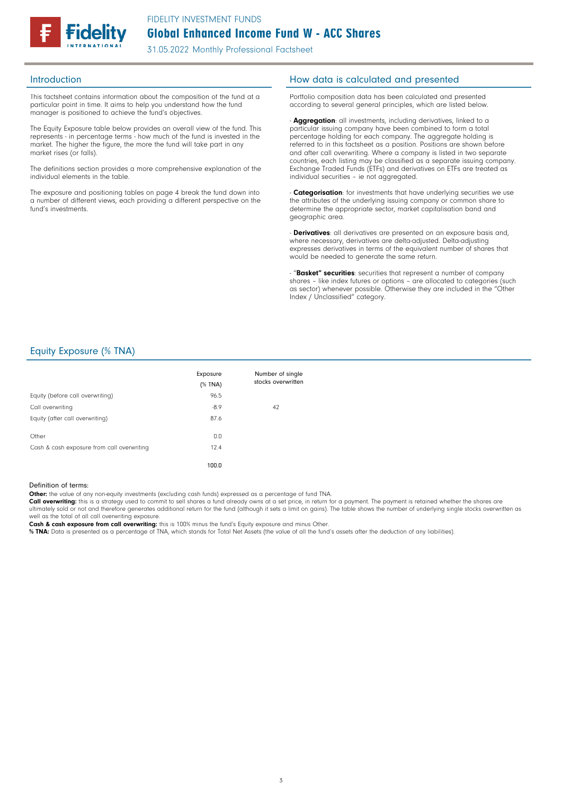

31.05.2022 Monthly Professional Factsheet

This factsheet contains information about the composition of the fund at a particular point in time. It aims to help you understand how the fund manager is positioned to achieve the fund's objectives.

The Equity Exposure table below provides an overall view of the fund. This represents - in percentage terms - how much of the fund is invested in the market. The higher the figure, the more the fund will take part in any market rises (or falls).

The definitions section provides a more comprehensive explanation of the individual elements in the table.

The exposure and positioning tables on page 4 break the fund down into a number of different views, each providing a different perspective on the fund's investments.

### Introduction **Introduction How data is calculated and presented**

Portfolio composition data has been calculated and presented according to several general principles, which are listed below.

- **Aggregation**: all investments, including derivatives, linked to a particular issuing company have been combined to form a total percentage holding for each company. The aggregate holding is referred to in this factsheet as a position. Positions are shown before and after call overwriting. Where a company is listed in two separate countries, each listing may be classified as a separate issuing company. Exchange Traded Funds (ETFs) and derivatives on ETFs are treated as individual securities – ie not aggregated.

- Categorisation: for investments that have underlying securities we use the attributes of the underlying issuing company or common share to determine the appropriate sector, market capitalisation band and geographic area.

- **Derivatives**: all derivatives are presented on an exposure basis and, where necessary, derivatives are delta-adjusted. Delta-adjusting expresses derivatives in terms of the equivalent number of shares that would be needed to generate the same return.

- "Basket" securities: securities that represent a number of company shares – like index futures or options – are allocated to categories (such as sector) whenever possible. Otherwise they are included in the "Other Index / Unclassified" category.

### Equity Exposure (% TNA)

|                                            | Exposure<br>$(%$ TNA) | Number of single<br>stocks overwritten |
|--------------------------------------------|-----------------------|----------------------------------------|
| Equity (before call overwriting)           | 96.5                  |                                        |
| Call overwriting                           | $-8.9$                | 42                                     |
| Equity (after call overwriting)            | 87.6                  |                                        |
| Other                                      | 0.0                   |                                        |
| Cash & cash exposure from call overwriting | 12.4                  |                                        |
|                                            | 100.0                 |                                        |

#### Definition of terms:

Other: the value of any non-equity investments (excluding cash funds) expressed as a percentage of fund TNA.

Call overwriting: this is a strategy used to commit to sell shares a fund already owns at a set price, in return for a payment. The payment is retained whether the shares are ultimately sold or not and therefore generates additional return for the fund (although it sets a limit on gains). The table shows the number of underlying single stocks overwritten as well as the total of all call overwriting exposure.

Cash & cash exposure from call overwriting: this is 100% minus the fund's Equity exposure and minus Other.

% TNA: Data is presented as a percentage of TNA, which stands for Total Net Assets (the value of all the fund's assets after the deduction of any liabilities).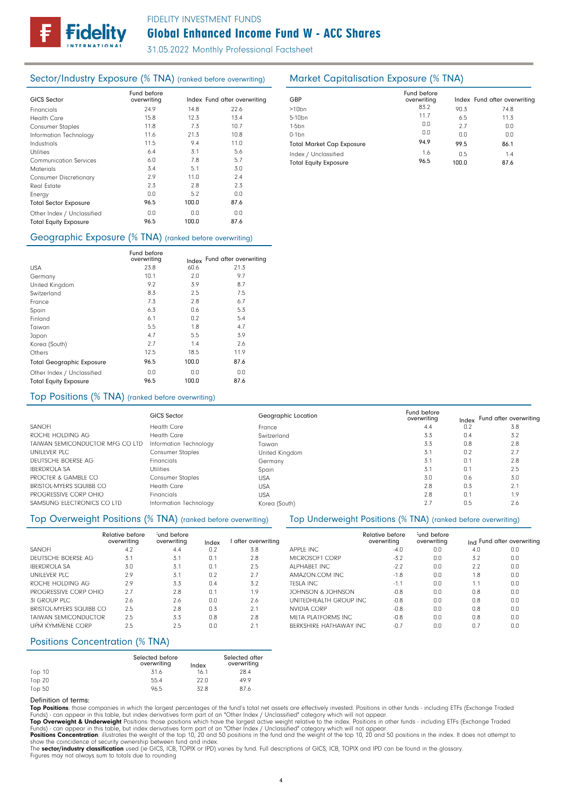

# Global Enhanced Income Fund W - ACC Shares FIDELITY INVESTMENT FUNDS

31.05.2022 Monthly Professional Factsheet

## Sector/Industry Exposure (% TNA) (ranked before overwriting) Market Capitalisation Exposure (% TNA)

| <b>GICS Sector</b>            | Fund before<br>overwriting |       | Index Fund after overwriting |
|-------------------------------|----------------------------|-------|------------------------------|
| Financials                    | 24.9                       | 14.8  | 22.6                         |
| Health Care                   | 15.8                       | 12.3  | 13.4                         |
| <b>Consumer Staples</b>       | 11.8                       | 7.3   | 10.7                         |
| Information Technology        | 11.6                       | 21.3  | 10.8                         |
| Industrials                   | 11.5                       | 9.4   | 11.0                         |
| <b>Utilities</b>              | 6.4                        | 3.1   | 5.6                          |
| <b>Communication Services</b> | 6.0                        | 7.8   | 5.7                          |
| <b>Materials</b>              | 3.4                        | 5.1   | 3.0                          |
| <b>Consumer Discretionary</b> | 2.9                        | 11.0  | 2.4                          |
| Real Estate                   | 2.3                        | 2.8   | 2.3                          |
| Energy                        | 0.0                        | 5.2   | 0.0                          |
| <b>Total Sector Exposure</b>  | 96.5                       | 100.0 | 87.6                         |
| Other Index / Unclassified    | 0.0                        | 0.0   | 0.0                          |
| <b>Total Equity Exposure</b>  | 96.5                       | 100.0 | 87.6                         |

### Geographic Exposure (% TNA) (ranked before overwriting)

|                                  | Fund before<br>overwriting | Index | Fund after overwriting |
|----------------------------------|----------------------------|-------|------------------------|
| <b>USA</b>                       | 23.8                       | 60.6  | 21.3                   |
| Germany                          | 10.1                       | 2.0   | 9.7                    |
| United Kingdom                   | 9.2                        | 3.9   | 8.7                    |
| Switzerland                      | 8.3                        | 2.5   | 7.5                    |
| France                           | 7.3                        | 2.8   | 6.7                    |
| Spain                            | 6.3                        | 0.6   | 5.3                    |
| Finland                          | 6.1                        | 0.2   | 5.4                    |
| Taiwan                           | 5.5                        | 1.8   | 4.7                    |
| Japan                            | 4.7                        | 5.5   | 3.9                    |
| Korea (South)                    | 2.7                        | 1.4   | 2.6                    |
| Others                           | 12.5                       | 18.5  | 11.9                   |
| <b>Total Geographic Exposure</b> | 96.5                       | 100.0 | 87.6                   |
| Other Index / Unclassified       | 0.0                        | 0.0   | 0.0                    |
| <b>Total Equity Exposure</b>     | 96.5                       | 100.0 | 87.6                   |

## Top Positions (% TNA) (ranked before overwriting)

|                                 | <b>GICS Sector</b>      | Geographic Location | Fund before<br>overwriting |     | Index Fund after overwriting |
|---------------------------------|-------------------------|---------------------|----------------------------|-----|------------------------------|
| <b>SANOFI</b>                   | <b>Health Care</b>      | France              | 4.4                        | 0.2 | 3.8                          |
| ROCHE HOLDING AG                | <b>Health Care</b>      | Switzerland         | 3.3                        | 0.4 | 3.2                          |
| TAIWAN SEMICONDUCTOR MFG CO LTD | Information Technology  | Taiwan              | 3.3                        | 0.8 | 2.8                          |
| UNILEVER PLC                    | <b>Consumer Staples</b> | United Kingdom      | 3.1                        | 0.2 |                              |
| DEUTSCHE BOERSE AG              | Financials              | Germany             | 3.1                        | 0.1 | 2.8                          |
| <b>IBERDROLA SA</b>             | <b>Utilities</b>        | Spain               | 3.1                        | 0.1 | 2.5                          |
| PROCTER & GAMBLE CO             | <b>Consumer Staples</b> | <b>USA</b>          | 3.0                        | 0.6 | 3.0                          |
| BRISTOL-MYERS SQUIBB CO         | <b>Health Care</b>      | <b>USA</b>          | 2.8                        | 0.3 | 2.1                          |
| PROGRESSIVE CORP OHIO           | <b>Financials</b>       | <b>USA</b>          | 2.8                        | 0.1 | 1.9                          |
| SAMSUNG ELECTRONICS CO LTD      | Information Technology  | Korea (South)       | 2.7                        | 0.5 | 2.6                          |

### Top Overweight Positions (% TNA) (ranked before overwriting) Top Underweight Positions (% TNA) (ranked before overwriting)

|                             | Relative before<br>overwriting | und before<br>overwriting | Index | after overwriting |                  |
|-----------------------------|--------------------------------|---------------------------|-------|-------------------|------------------|
| <b>SANOFI</b>               | 4.2                            | 4.4                       | 0.2   | 3.8               | <b>APPLE INC</b> |
| DEUTSCHE BOERSE AG          | 3.1                            | 3.1                       | 0.1   | 2.8               | <b>MICROSO</b>   |
| <b>IBERDROLA SA</b>         | 3.0                            | 3.1                       | 0.1   | 2.5               | <b>ALPHABET</b>  |
| UNILEVER PLC                | 2.9                            | 3.1                       | 0.2   | 2.7               | AMAZON.          |
| ROCHE HOLDING AG            | 2.9                            | 3.3                       | 0.4   | 3.2               | <b>TESLA INC</b> |
| PROGRESSIVE CORP OHIO       | 2.7                            | 2.8                       | 0.1   | 1.9               | <b>JOHNSON</b>   |
| 31 GROUP PLC                | 2.6                            | 2.6                       | 0.0   | 2.6               | <b>UNITEDHE</b>  |
| BRISTOL-MYERS SQUIBB CO     | 2.5                            | 2.8                       | 0.3   | 2.1               | NVIDIA CO        |
| <b>TAIWAN SEMICONDUCTOR</b> | 2.5                            | 3.3                       | 0.8   | 2.8               | <b>META PLA</b>  |
| <b>UPM KYMMENE CORP</b>     | 2.5                            | 2.5                       | 0.0   | 2.1               | <b>BERKSHIRE</b> |

## Positions Concentration (% TNA)

|        | Selected before<br>overwriting | Index | Selected after<br>overwriting |
|--------|--------------------------------|-------|-------------------------------|
| Top 10 | 31.6                           | 16.1  | 28.4                          |
| Top 20 | 55.4                           | 22.0  | 49.9                          |
| Top 50 | 96.5                           | 32.8  | 87.6                          |

#### Definition of terms:

**Top Positions**: those companies in which the largest percentages of the fund's total net assets are effectively invested. Positions in other funds - including ETFs (Exchange Traded<br>Funds) - can appear in this table, but i

**Top Overweight & Underweight** Positions: those positions which have the largest active weight relative to the index. Positions in other funds - including ETFs (Exchange Traded<br>Funds) - can appear in this table, but index

**Positions Concentration**: illustrates the weight of the top 10, 20 and 50 positions in the fund and the weight of the top 10, 20 and 50 positions in the index. It does not attempt to<br>show the coincidence of security owner

The sector/industry classification used (ie GICS, ICB, TOPIX or IPD) varies by fund. Full descriptions of GICS, ICB, TOPIX and IPD can be found in the glossary. Figures may not always sum to totals due to rounding

| GBP                              | Fund before<br>overwriting |       | Index Fund after overwriting |
|----------------------------------|----------------------------|-------|------------------------------|
| $>10$ bn                         | 83.2                       | 90.3  | 74.8                         |
| 5-10 <sub>bn</sub>               | 11.7                       | 6.5   | 11.3                         |
| $1-5$ bn                         | 0.0                        | 2.7   | 0.0                          |
| $0-1$ bn                         | 0.0                        | 0.0   | 0.0                          |
| <b>Total Market Cap Exposure</b> | 94.9                       | 99.5  | 86.1                         |
| Index / Unclassified             | 1.6                        | 0.5   | 1.4                          |
| <b>Total Equity Exposure</b>     | 96.5                       | 100.0 | 87.6                         |

|                                | Relative before<br>overwriting | und before<br>overwriting |     | Ind Fund after overwriting |
|--------------------------------|--------------------------------|---------------------------|-----|----------------------------|
| APPLE INC                      | $-4.0$                         | 0.0                       | 4.0 | 0.0                        |
| MICROSOFT CORP                 | $-3.2$                         | 0.0                       | 3.2 | 0.0                        |
| ALPHARFT INC                   | $-2.2$                         | 0.0                       | 2.2 | 0.0                        |
| AMAZON.COM INC.                | $-1.8$                         | 0.0                       | 1.8 | 0.0                        |
| TESLA INC.                     | $-1.1$                         | 0.0                       | 1.1 | 0.0                        |
| JOHNSON & JOHNSON              | $-0.8$                         | 0.0                       | 0.8 | 0.0                        |
| UNITEDHEALTH GROUP INC.        | $-0.8$                         | 0.0                       | 0.8 | 0.0                        |
| NVIDIA CORP                    | $-0.8$                         | 0.0                       | 0.8 | 0.0                        |
| <b>META PLATEORMS INC.</b>     | $-0.8$                         | 0.0                       | 0.8 | 0.0                        |
| <b>BERKSHIRE HATHAWAY INC.</b> | $-0.7$                         | 0.O                       | 0.7 | 0.0                        |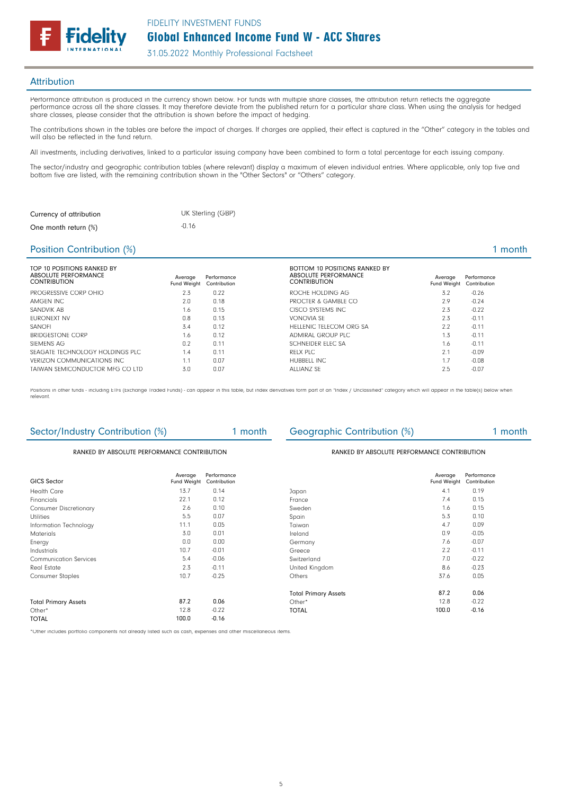

#### **Attribution**

Performance attribution is produced in the currency shown below. For funds with multiple share classes, the attribution return reflects the aggregate performance across all the share classes. It may therefore deviate from the published return for a particular share class. When using the analysis for hedged share classes, please consider that the attribution is shown before the impact of hedging.

The contributions shown in the tables are before the impact of charges. If charges are applied, their effect is captured in the "Other" category in the tables and will also be reflected in the fund return.

All investments, including derivatives, linked to a particular issuing company have been combined to form a total percentage for each issuing company.

The sector/industry and geographic contribution tables (where relevant) display a maximum of eleven individual entries. Where applicable, only top five and bottom five are listed, with the remaining contribution shown in the "Other Sectors" or "Others" category.

| Currency of attribution | UK Sterling (GBP) |
|-------------------------|-------------------|
| One month return (%)    | -0.16             |

### Position Contribution (%)

|  | month |  |  |
|--|-------|--|--|
|  |       |  |  |

| TOP 10 POSITIONS RANKED BY<br>ABSOLUTE PERFORMANCE<br><b>CONTRIBUTION</b> | Average<br>Fund Weight | Performance<br>Contribution | <b>BOTTOM 10 POSITIONS RANKED BY</b><br>ABSOLUTE PERFORMANCE<br><b>CONTRIBUTION</b> | Average<br>Fund Weight | Performance<br>Contribution |
|---------------------------------------------------------------------------|------------------------|-----------------------------|-------------------------------------------------------------------------------------|------------------------|-----------------------------|
| PROGRESSIVE CORP OHIO                                                     | 2.3                    | 0.22                        | ROCHE HOLDING AG                                                                    | 3.2                    | $-0.26$                     |
| AMGEN INC                                                                 | 2.0                    | 0.18                        | PROCTER & GAMBLE CO                                                                 | 2.9                    | $-0.24$                     |
| SANDVIK AB                                                                | 1.6                    | 0.15                        | CISCO SYSTEMS INC.                                                                  | 2.3                    | $-0.22$                     |
| <b>FURONEXT NV</b>                                                        | 0.8                    | 0.13                        | VONOVIA SF                                                                          | 2.3                    | $-0.11$                     |
| <b>SANOFI</b>                                                             | 3.4                    | 0.12                        | HELLENIC TELECOM ORG SA                                                             | 2.2                    | $-0.11$                     |
| <b>BRIDGESTONE CORP</b>                                                   | 1.6                    | 0.12                        | ADMIRAL GROUP PLC                                                                   | 1.3                    | $-0.11$                     |
| SIEMENS AG                                                                | 0.2                    | 0.11                        | SCHNFIDER FLEC SA                                                                   | 1.6                    | $-0.11$                     |
| SEAGATE TECHNOLOGY HOLDINGS PLC.                                          | 1.4                    | 0.11                        | RFLX PLC                                                                            | 2.1                    | $-0.09$                     |
| VERIZON COMMUNICATIONS INC.                                               | 1.1                    | 0.07                        | HUBBELL INC.                                                                        | 1.7                    | $-0.08$                     |
| TAIWAN SEMICONDUCTOR MEG CO LTD                                           | 3.0                    | 0.07                        | ALLIANZ SF                                                                          | 2.5                    | $-0.07$                     |

Positions in other funds - including ETFs (Exchange Traded Funds) - can appear in this table, but index derivatives form part of an "Index / Unclassified" category which will appear in the table(s) below when relevant.

| Sector/Industry Contribution (%)            |                        | 1 month                     | <b>Geographic Contribution (%)</b>          |                        | 1 month                     |
|---------------------------------------------|------------------------|-----------------------------|---------------------------------------------|------------------------|-----------------------------|
| RANKED BY ABSOLUTE PERFORMANCE CONTRIBUTION |                        |                             | RANKED BY ABSOLUTE PERFORMANCE CONTRIBUTION |                        |                             |
| <b>GICS Sector</b>                          | Average<br>Fund Weight | Performance<br>Contribution |                                             | Average<br>Fund Weight | Performance<br>Contribution |
| <b>Health Care</b>                          | 13.7                   | 0.14                        | Japan                                       | 4.1                    | 0.19                        |
| Financials                                  | 22.1                   | 0.12                        | France                                      | 7.4                    | 0.15                        |
| <b>Consumer Discretionary</b>               | 2.6                    | 0.10                        | Sweden                                      | 1.6                    | 0.15                        |
| <b>Utilities</b>                            | 5.5                    | 0.07                        | Spain                                       | 5.3                    | 0.10                        |
| Information Technology                      | 11.1                   | 0.05                        | Taiwan                                      | 4.7                    | 0.09                        |
| <b>Materials</b>                            | 3.0                    | 0.01                        | Ireland                                     | 0.9                    | $-0.05$                     |
| Energy                                      | 0.0                    | 0.00                        | Germany                                     | 7.6                    | $-0.07$                     |
| Industrials                                 | 10.7                   | $-0.01$                     | Greece                                      | 2.2                    | $-0.11$                     |
| <b>Communication Services</b>               | 5.4                    | $-0.06$                     | Switzerland                                 | 7.0                    | $-0.22$                     |
| Real Estate                                 | 2.3                    | $-0.11$                     | United Kingdom                              | 8.6                    | $-0.23$                     |
| <b>Consumer Staples</b>                     | 10.7                   | $-0.25$                     | <b>Others</b>                               | 37.6                   | 0.05                        |
|                                             |                        |                             | <b>Total Primary Assets</b>                 | 87.2                   | 0.06                        |
| <b>Total Primary Assets</b>                 | 87.2                   | 0.06                        | Other*                                      | 12.8                   | $-0.22$                     |
| Other*                                      | 12.8                   | $-0.22$                     | <b>TOTAL</b>                                | 100.0                  | $-0.16$                     |
| <b>TOTAL</b>                                | 100.0                  | $-0.16$                     |                                             |                        |                             |

\*Other includes portfolio components not already listed such as cash, expenses and other miscellaneous items.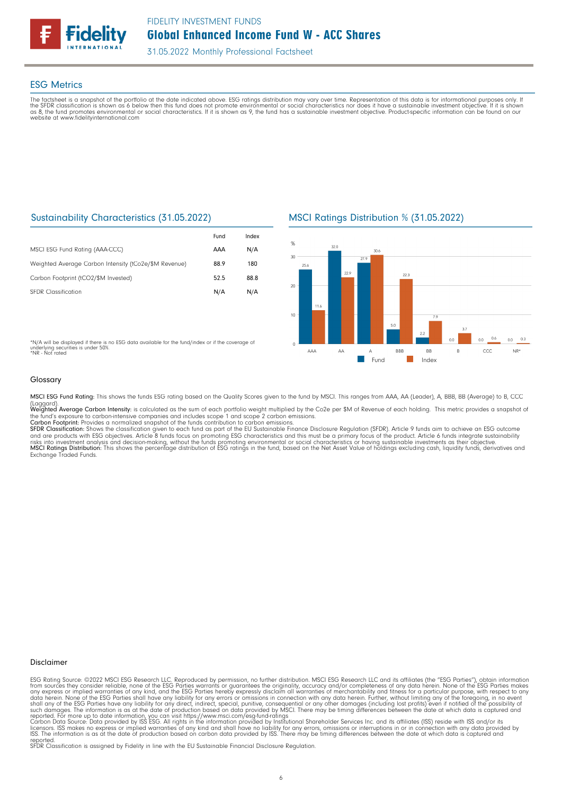

### ESG Metrics

The factsheet is a snapshot of the portfolio at the date indicated above. ESG ratings distribution may vary over time. Representation of this data is for informational purposes only. If<br>the SFDR classification is shown as website at www.fidelityinternational.com

### Sustainability Characteristics (31.05.2022)

|                                                       | Fund | Index |
|-------------------------------------------------------|------|-------|
| MSCI ESG Fund Rating (AAA-CCC)                        | AAA  | N/A   |
| Weighted Average Carbon Intensity (tCo2e/\$M Revenue) | 88.9 | 180   |
| Carbon Footprint (tCO2/\$M Invested)                  | 52.5 | 88.8  |
| <b>SFDR Classification</b>                            | N/A  | N/A   |

MSCI Ratings Distribution % (31.05.2022)



\*N/A will be displayed if there is no ESG data available for the fund/index or if the coverage of underlying securities is under 50%. \*NR - Not rated

#### Glossary

MSCI ESG Fund Rating: This shows the funds ESG rating based on the Quality Scores given to the fund by MSCI. This ranges from AAA, AA (Leader), A, BBB, BB (Average) to B, CCC (Laggard).<br>**Weighted Average Carbon Intensity**: is calculated as the sum of each portfolio weight multiplied by the Co2e per \$M of Revenue of each holding. This metric provides a snapshot o

the fund's exposure to carbon-intensive companies and includes scope 1 and scope 2 carbon emissions.<br><mark>Carbon Footprint</mark>: Provides a normalized snapshot of the funds contribution to carbon emissions.

SFDR Classification: Shows the classification given to each fund as part of the EU Sustainable Finance Disclosure Regulation (SFDR). Article 9 funds aim to achieve an ESG outcome and are products with ESG objectives. Article 8 funds focus on promoting ESG characteristics and this must be a primary focus of the product. Article 6 funds integrate sustainability<br>risks into investment analysis and deci Exchange Traded Funds.

#### Disclaimer

ESG Rating Source: ©2022 MSCI ESG Research LLC. Reproduced by permission, no further distribution. MSCI ESG Research LLC and its affiliates (the "ESG Parties"), obtain information<br>from sources they consider reliable, none

reported. SFDR Classification is assigned by Fidelity in line with the EU Sustainable Financial Disclosure Regulation.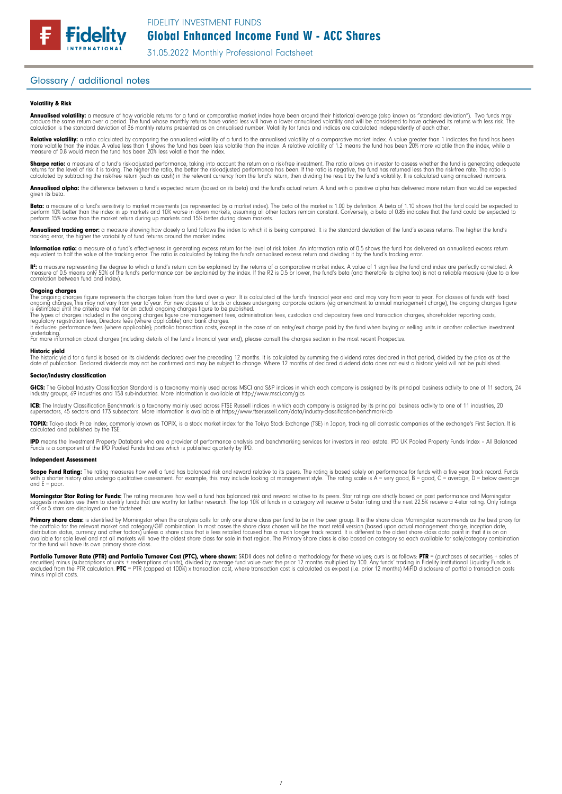31.05.2022 Monthly Professional Factsheet

### Glossary / additional notes

**Fidelity** 

#### Volatility & Risk

**Annualised volatility:** a measure of how variable returns for a fund or comparative market index have been around their historical average (also known as "standard deviation"). Two funds may<br>produce the same return over a calculation is the standard deviation of 36 monthly returns presented as an annualised number. Volatility for funds and indices are calculated independently of each other

**Relative volatility:** a ratio calculated by comparing the annualised volatility of a fund to the annualised volatility of a comparative market index. A value greater than 1 indicates the fund has been<br>more volatile than t measure of 0.8 would mean the fund has been 20% less volatile than the index.

**Sharpe ratio:** a measure of a fund's risk-adjusted performance, taking into account the return on a risk-free investment. The ratio allows an investor to assess whether the fund is generating adequate<br>returns for the leve calculated by subtracting the risk-free return (such as cash) in the relevant currency from the fund's return, then dividing the result by the fund's volatility. It is calculated using annualised numbers.

Annualised alpha: the difference between a fund's expected return (based on its beta) and the fund's actual return. A fund with a positive alpha has delivered more return than would be expected given its beta.

**Beta:** a measure of a fund's sensitivity to market movements (as represented by a market index). The beta of the market is 1.00 by definition. A beta of 1.10 shows that the fund could be expected to<br>perform 10% better tha perform 15% worse than the market return during up markets and 15% better during down markets.

**Annualised tracking error:** a measure showing how closely a tund tollows the index to which it is being compared. It is the standard deviation of the fund's excess returns. The higher the fund's<br>tracking error, the higher

**Information ratio:** a measure ot a tund's eftectiveness in generating excess return for the level of risk taken. An information ratio of U.5 shows the fund has delivered an annualised excess return<br>equivalent to half the

Rº: a measure representing the degree to which a fund's return can be explained by the returns of a comparative market index. A value of 1 signifies the fund and index are perfectly correlated. A<br>measure of 0.5 means only correlation between fund and index).

**Ongoing charges**<br>The ongoing charges figure represents the charges taken from the fund over a year. It is calculated at the fund's financial year end and may vary from year to year. For classes of funds with fixed The ongoing charges figure represents the charges taken from the fund over a year. It is calculated at the fund's financial year end and may vary from year to year. For classes of funds with fixed groups, this monoing char

undertaking. For more information about charges (including details of the fund's financial year end), please consult the charges section in the most recent Prospectus.

#### Historic yield

The historic yield for a fund is based on its dividends declared over the preceding 12 months. It is calculated by summing the dividend rates declared in that period, divided by the price as at the<br>date of publication. Dec

#### Sector/industry classification

**GICS:** The Global Industry Classification Standard is a taxonomy mainly used across MSCI and S&P indices in which each company is assigned by its principal business activity to one of 11 sectors, 24<br>industry groups, 69 in

**ICB:** The Industry Classitication Benchmark is a taxonomy mainly used across FTSE Russell indices in which each company is assigned by its principal business activity to one of 11 industries, 20<br>supersectors, 45 sectors a

TOPIX: Tokyo stock Price Index, commonly known as TOPIX, is a stock market index for the Tokyo Stock Exchange (TSE) in Japan, tracking all domestic companies of the exchange's First Section. It is calculated and published by the TSE.

**IPD** means the Investment Property Databank who are a provider of performance analysis and benchmarking services for investors in real estate. IPD UK Pooled Property Funds Index - All Balanced<br>Funds is a component of the

#### Independent Assessment

**Scope Fund Rating:** The rating measures how well a fund has balanced risk and reward relative to its peers. The rating is based solely on performance for funds with a five year track record. Funds<br>with a shorter history a  $and E = poor$ 

**Morningstar Star Rating for Funds:** The rating measures how well a tund has balanced risk and reward relative to its peers. Star ratings are strictly based on past performance and Morningstar<br>suggests investors use them t

**Primary share class:** is identified by Morningstar when the analysis calls for only one share class per fund to be in the peer group. It is the share class Morningstar recommends as the best proxy for the best proxy for c for the fund will have its own primary share class.

Portfolio Turnover Rate (PTR) and Portfolio Turnover Cost (PTC), where shown: SRDII does not define a methodology for these values; ours is as follows: PTR = (purchases of securities + sales of securities) minus (subscriptions ot units + redemptions ot units), divided by average tund value over the prior 12 months multiplied by 100. Any tunds' trading in Fidelity Institutional Liquidity Funds is<br>excluded from the minus implicit costs.